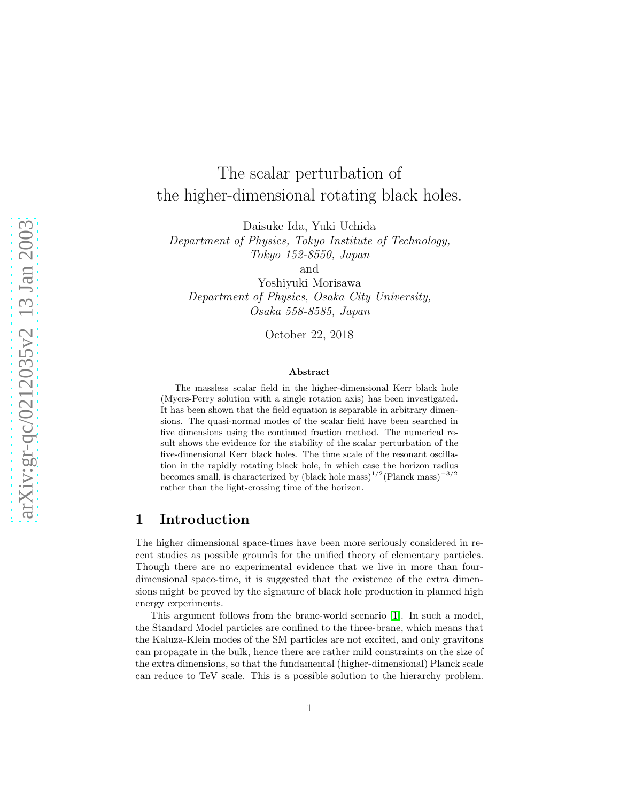# The scalar perturbation of the higher-dimensional rotating black holes.

Daisuke Ida, Yuki Uchida

Department of Physics, Tokyo Institute of Technology, Tokyo 152-8550, Japan

and

Yoshiyuki Morisawa Department of Physics, Osaka City University, Osaka 558-8585, Japan

October 22, 2018

#### Abstract

The massless scalar field in the higher-dimensional Kerr black hole (Myers-Perry solution with a single rotation axis) has been investigated. It has been shown that the field equation is separable in arbitrary dimensions. The quasi-normal modes of the scalar field have been searched in five dimensions using the continued fraction method. The numerical result shows the evidence for the stability of the scalar perturbation of the five-dimensional Kerr black holes. The time scale of the resonant oscillation in the rapidly rotating black hole, in which case the horizon radius becomes small, is characterized by (black hole mass)<sup>1/2</sup>(Planck mass)<sup>-3/2</sup> rather than the light-crossing time of the horizon.

### 1 Introduction

The higher dimensional space-times have been more seriously considered in recent studies as possible grounds for the unified theory of elementary particles. Though there are no experimental evidence that we live in more than fourdimensional space-time, it is suggested that the existence of the extra dimensions might be proved by the signature of black hole production in planned high energy experiments.

This argument follows from the brane-world scenario [\[1\]](#page-7-0). In such a model, the Standard Model particles are confined to the three-brane, which means that the Kaluza-Klein modes of the SM particles are not excited, and only gravitons can propagate in the bulk, hence there are rather mild constraints on the size of the extra dimensions, so that the fundamental (higher-dimensional) Planck scale can reduce to TeV scale. This is a possible solution to the hierarchy problem.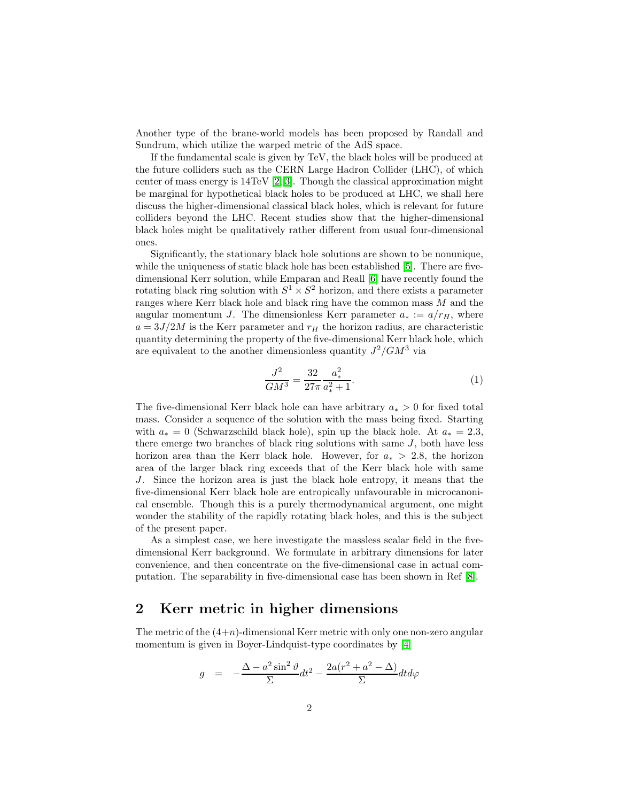Another type of the brane-world models has been proposed by Randall and Sundrum, which utilize the warped metric of the AdS space.

If the fundamental scale is given by TeV, the black holes will be produced at the future colliders such as the CERN Large Hadron Collider (LHC), of which center of mass energy is 14TeV [\[2,](#page-7-1) [3\]](#page-7-2). Though the classical approximation might be marginal for hypothetical black holes to be produced at LHC, we shall here discuss the higher-dimensional classical black holes, which is relevant for future colliders beyond the LHC. Recent studies show that the higher-dimensional black holes might be qualitatively rather different from usual four-dimensional ones.

Significantly, the stationary black hole solutions are shown to be nonunique, while the uniqueness of static black hole has been established [\[5\]](#page-7-3). There are fivedimensional Kerr solution, while Emparan and Reall [\[6\]](#page-7-4) have recently found the rotating black ring solution with  $S^1 \times S^2$  horizon, and there exists a parameter ranges where Kerr black hole and black ring have the common mass M and the angular momentum J. The dimensionless Kerr parameter  $a_* := a/r_H$ , where  $a = 3J/2M$  is the Kerr parameter and  $r_H$  the horizon radius, are characteristic quantity determining the property of the five-dimensional Kerr black hole, which are equivalent to the another dimensionless quantity  $J^2/GM^3$  via

$$
\frac{J^2}{GM^3} = \frac{32}{27\pi} \frac{a_*^2}{a_*^2 + 1}.
$$
 (1)

The five-dimensional Kerr black hole can have arbitrary  $a_* > 0$  for fixed total mass. Consider a sequence of the solution with the mass being fixed. Starting with  $a_* = 0$  (Schwarzschild black hole), spin up the black hole. At  $a_* = 2.3$ , there emerge two branches of black ring solutions with same J, both have less horizon area than the Kerr black hole. However, for  $a_* > 2.8$ , the horizon area of the larger black ring exceeds that of the Kerr black hole with same J. Since the horizon area is just the black hole entropy, it means that the five-dimensional Kerr black hole are entropically unfavourable in microcanonical ensemble. Though this is a purely thermodynamical argument, one might wonder the stability of the rapidly rotating black holes, and this is the subject of the present paper.

As a simplest case, we here investigate the massless scalar field in the fivedimensional Kerr background. We formulate in arbitrary dimensions for later convenience, and then concentrate on the five-dimensional case in actual computation. The separability in five-dimensional case has been shown in Ref [\[8\]](#page-7-5).

### 2 Kerr metric in higher dimensions

<span id="page-1-0"></span>The metric of the  $(4+n)$ -dimensional Kerr metric with only one non-zero angular momentum is given in Boyer-Lindquist-type coordinates by [\[4\]](#page-7-6)

$$
g = -\frac{\Delta - a^2 \sin^2 \theta}{\Sigma} dt^2 - \frac{2a(r^2 + a^2 - \Delta)}{\Sigma} dt d\varphi
$$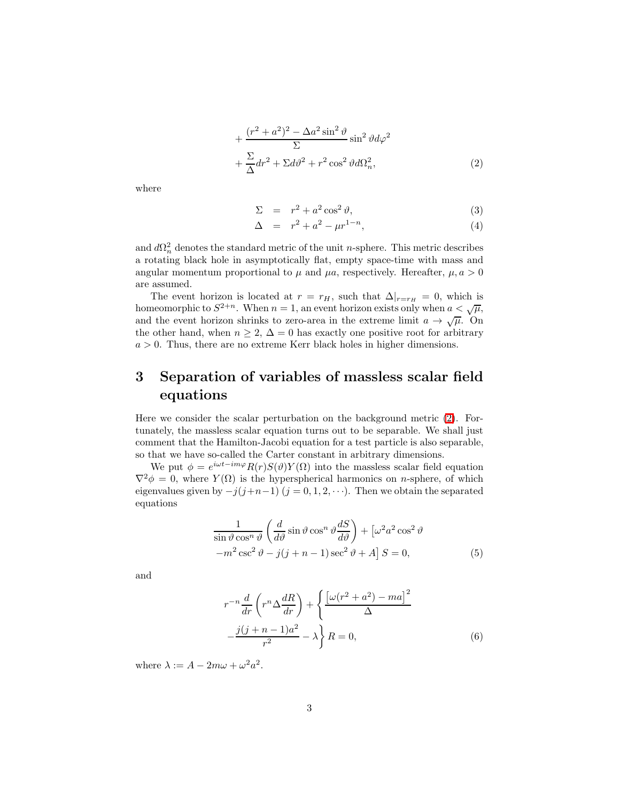$$
+\frac{(r^2+a^2)^2-\Delta a^2\sin^2\vartheta}{\Sigma}\sin^2\vartheta d\varphi^2
$$
  
+
$$
\frac{\Sigma}{\Delta}dr^2+\Sigma d\vartheta^2+r^2\cos^2\vartheta d\Omega_n^2,
$$
 (2)

where

$$
\Sigma = r^2 + a^2 \cos^2 \vartheta,\tag{3}
$$

$$
\Delta = r^2 + a^2 - \mu r^{1-n}, \tag{4}
$$

and  $d\Omega_n^2$  denotes the standard metric of the unit *n*-sphere. This metric describes a rotating black hole in asymptotically flat, empty space-time with mass and angular momentum proportional to  $\mu$  and  $\mu a$ , respectively. Hereafter,  $\mu, a > 0$ are assumed.

The event horizon is located at  $r = r_H$ , such that  $\Delta|_{r=r_H} = 0$ , which is homeomorphic to  $S^{2+n}$ . When  $n = 1$ , an event horizon exists only when  $a < \sqrt{\mu}$ , and the event horizon shrinks to zero-area in the extreme limit  $a \to \sqrt{\mu}$ . On the other hand, when  $n \geq 2$ ,  $\Delta = 0$  has exactly one positive root for arbitrary  $a > 0$ . Thus, there are no extreme Kerr black holes in higher dimensions.

## 3 Separation of variables of massless scalar field equations

Here we consider the scalar perturbation on the background metric [\(2\)](#page-1-0). Fortunately, the massless scalar equation turns out to be separable. We shall just comment that the Hamilton-Jacobi equation for a test particle is also separable, so that we have so-called the Carter constant in arbitrary dimensions.

We put  $\phi = e^{i\omega t - im\varphi} R(r) S(\vartheta) Y(\Omega)$  into the massless scalar field equation  $\nabla^2 \phi = 0$ , where  $Y(\Omega)$  is the hyperspherical harmonics on *n*-sphere, of which eigenvalues given by  $-j(j+n-1)$   $(j = 0, 1, 2, \cdots)$ . Then we obtain the separated equations

$$
\frac{1}{\sin \vartheta \cos^n \vartheta} \left( \frac{d}{d\vartheta} \sin \vartheta \cos^n \vartheta \frac{dS}{d\vartheta} \right) + \left[ \omega^2 a^2 \cos^2 \vartheta \right. \n-m^2 \csc^2 \vartheta - j(j+n-1) \sec^2 \vartheta + A \right] S = 0,
$$
\n(5)

<span id="page-2-1"></span><span id="page-2-0"></span>and

$$
r^{-n}\frac{d}{dr}\left(r^{n}\Delta\frac{dR}{dr}\right) + \left\{\frac{\left[\omega(r^{2}+a^{2})-ma\right]^{2}}{\Delta} - \frac{j(j+n-1)a^{2}}{r^{2}} - \lambda\right\}R = 0,
$$
\n(6)

where  $\lambda := A - 2m\omega + \omega^2 a^2$ .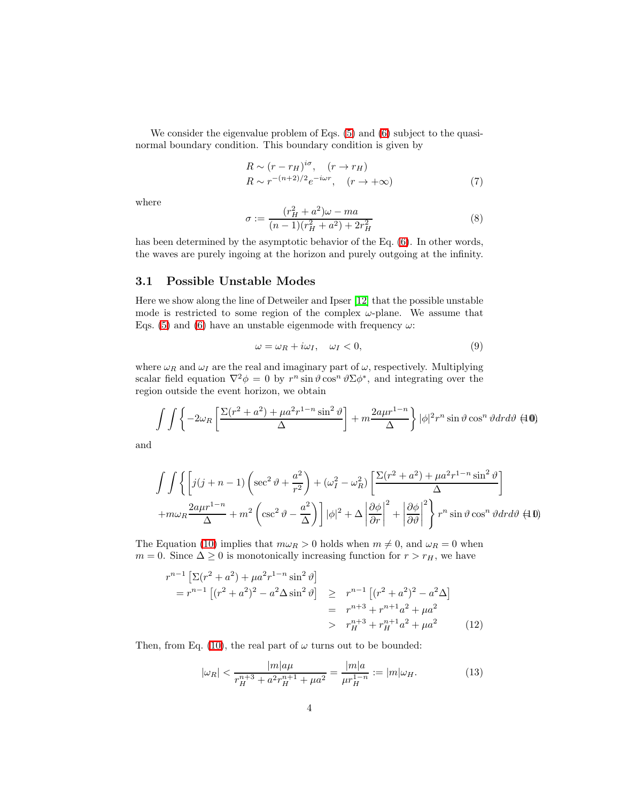We consider the eigenvalue problem of Eqs. [\(5\)](#page-2-0) and [\(6\)](#page-2-1) subject to the quasinormal boundary condition. This boundary condition is given by

$$
R \sim (r - r_H)^{i\sigma}, \quad (r \to r_H)
$$
  
\n
$$
R \sim r^{-(n+2)/2} e^{-i\omega r}, \quad (r \to +\infty)
$$
\n(7)

where

$$
\sigma := \frac{(r_H^2 + a^2)\omega - ma}{(n-1)(r_H^2 + a^2) + 2r_H^2} \tag{8}
$$

has been determined by the asymptotic behavior of the Eq. [\(6\)](#page-2-1). In other words, the waves are purely ingoing at the horizon and purely outgoing at the infinity.

#### 3.1 Possible Unstable Modes

Here we show along the line of Detweiler and Ipser [\[12\]](#page-8-0) that the possible unstable mode is restricted to some region of the complex  $\omega$ -plane. We assume that Eqs. [\(5\)](#page-2-0) and [\(6\)](#page-2-1) have an unstable eigenmode with frequency  $\omega$ :

$$
\omega = \omega_R + i\omega_I, \quad \omega_I < 0,\tag{9}
$$

where  $\omega_R$  and  $\omega_I$  are the real and imaginary part of  $\omega$ , respectively. Multiplying scalar field equation  $\nabla^2 \phi = 0$  by  $r^n \sin \vartheta \cos^n \vartheta \Sigma \phi^*$ , and integrating over the region outside the event horizon, we obtain

$$
\int \int \left\{-2\omega_R \left[\frac{\Sigma(r^2+a^2)+\mu a^2r^{1-n}\sin^2\vartheta}{\Delta}\right] + m\frac{2a\mu r^{1-n}}{\Delta}\right\} |\phi|^2 r^n \sin\vartheta \cos^n\vartheta dr d\vartheta \neq 0
$$

<span id="page-3-1"></span><span id="page-3-0"></span>and

$$
\int \int \left\{ \left[ j(j+n-1) \left( \sec^2 \vartheta + \frac{a^2}{r^2} \right) + (\omega_I^2 - \omega_R^2) \left[ \frac{\Sigma (r^2 + a^2) + \mu a^2 r^{1-n} \sin^2 \vartheta}{\Delta} \right] \right. \right.+ m\omega_R \frac{2a\mu r^{1-n}}{\Delta} + m^2 \left( \csc^2 \vartheta - \frac{a^2}{\Delta} \right) \right] |\phi|^2 + \Delta \left| \frac{\partial \phi}{\partial r} \right|^2 + \left| \frac{\partial \phi}{\partial \vartheta} \right|^2 \right\} r^n \sin \vartheta \cos^n \vartheta dr d\vartheta \{40\}
$$

The Equation [\(10\)](#page-3-0) implies that  $m\omega_R > 0$  holds when  $m \neq 0$ , and  $\omega_R = 0$  when  $m = 0$ . Since  $\Delta \geq 0$  is monotonically increasing function for  $r > r_H$ , we have

$$
r^{n-1} \left[ \Sigma (r^2 + a^2) + \mu a^2 r^{1-n} \sin^2 \vartheta \right]
$$
  
=  $r^{n-1} \left[ (r^2 + a^2)^2 - a^2 \Delta \sin^2 \vartheta \right] \ge r^{n-1} \left[ (r^2 + a^2)^2 - a^2 \Delta \right]$   
=  $r^{n+3} + r^{n+1} a^2 + \mu a^2$   
>  $r_H^{n+3} + r_H^{n+1} a^2 + \mu a^2$  (12)

Then, from Eq. [\(10\)](#page-3-0), the real part of  $\omega$  turns out to be bounded:

$$
|\omega_R| < \frac{|m|a\mu}{r_H^{n+3} + a^2 r_H^{n+1} + \mu a^2} = \frac{|m|a}{\mu r_H^{1-n}} := |m|\omega_H. \tag{13}
$$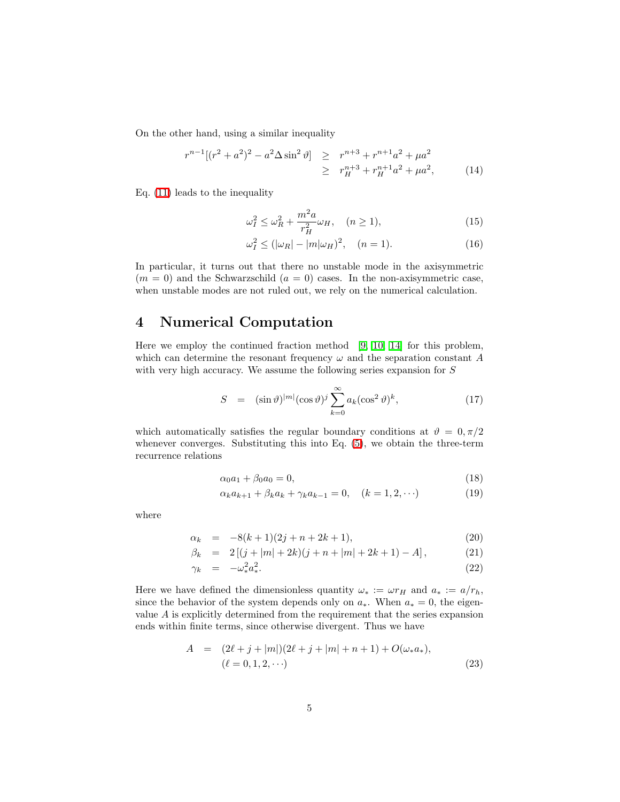On the other hand, using a similar inequality

$$
r^{n-1}[(r^2 + a^2)^2 - a^2 \Delta \sin^2 \vartheta] \geq r^{n+3} + r^{n+1}a^2 + \mu a^2
$$
  
 
$$
\geq r_H^{n+3} + r_H^{n+1}a^2 + \mu a^2,
$$
 (14)

Eq. [\(11\)](#page-3-1) leads to the inequality

$$
\omega_I^2 \le \omega_R^2 + \frac{m^2 a}{r_H^2} \omega_H, \quad (n \ge 1), \tag{15}
$$

$$
\omega_I^2 \le (|\omega_R| - |m|\omega_H)^2, \quad (n = 1).
$$
 (16)

In particular, it turns out that there no unstable mode in the axisymmetric  $(m = 0)$  and the Schwarzschild  $(a = 0)$  cases. In the non-axisymmetric case, when unstable modes are not ruled out, we rely on the numerical calculation.

### 4 Numerical Computation

Here we employ the continued fraction method [\[9,](#page-8-1) [10,](#page-8-2) [14\]](#page-8-3) for this problem, which can determine the resonant frequency  $\omega$  and the separation constant A with very high accuracy. We assume the following series expansion for S

$$
S = (\sin \vartheta)^{|m|} (\cos \vartheta)^j \sum_{k=0}^{\infty} a_k (\cos^2 \vartheta)^k, \qquad (17)
$$

which automatically satisfies the regular boundary conditions at  $\vartheta = 0, \pi/2$ whenever converges. Substituting this into Eq. [\(5\)](#page-2-0), we obtain the three-term recurrence relations

$$
\alpha_0 a_1 + \beta_0 a_0 = 0,\t\t(18)
$$

$$
\alpha_k a_{k+1} + \beta_k a_k + \gamma_k a_{k-1} = 0, \quad (k = 1, 2, \cdots)
$$
 (19)

where

$$
\alpha_k = -8(k+1)(2j+n+2k+1), \tag{20}
$$

$$
\beta_k = 2[(j+|m|+2k)(j+n+|m|+2k+1)-A], \qquad (21)
$$

$$
\gamma_k = -\omega_*^2 a_*^2. \tag{22}
$$

Here we have defined the dimensionless quantity  $\omega_* := \omega r_H$  and  $a_* := a/r_h$ , since the behavior of the system depends only on  $a_*$ . When  $a_* = 0$ , the eigenvalue  $A$  is explicitly determined from the requirement that the series expansion ends within finite terms, since otherwise divergent. Thus we have

$$
A = (2\ell + j + |m|)(2\ell + j + |m| + n + 1) + O(\omega_* a_*),
$$
  

$$
(\ell = 0, 1, 2, \cdots)
$$
 (23)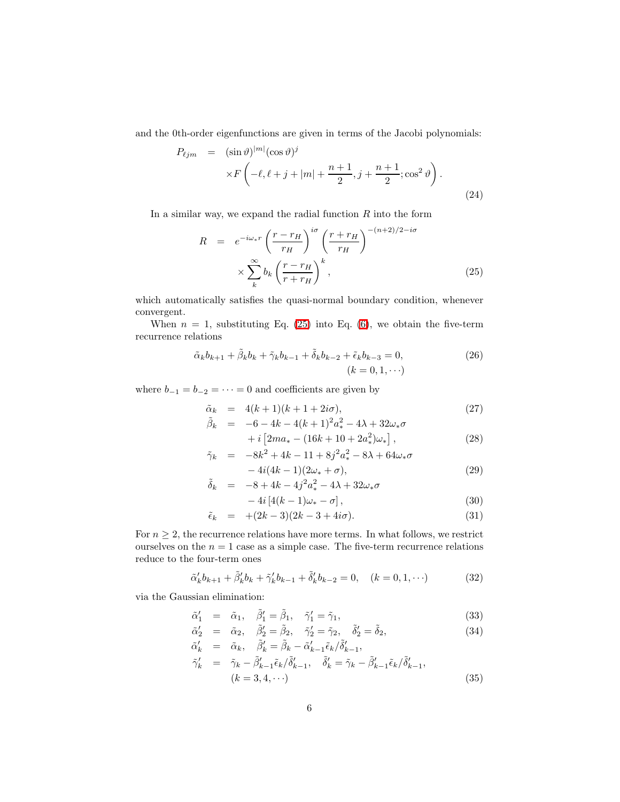and the 0th-order eigenfunctions are given in terms of the Jacobi polynomials:

$$
P_{\ell jm} = (\sin \vartheta)^{|m|} (\cos \vartheta)^j
$$
  
 
$$
\times F\left(-\ell, \ell+j+|m|+\frac{n+1}{2}, j+\frac{n+1}{2}; \cos^2 \vartheta\right).
$$
 (24)

<span id="page-5-0"></span>In a similar way, we expand the radial function  $R$  into the form

$$
R = e^{-i\omega_*r} \left(\frac{r - r_H}{r_H}\right)^{i\sigma} \left(\frac{r + r_H}{r_H}\right)^{-(n+2)/2 - i\sigma}
$$

$$
\times \sum_{k}^{\infty} b_k \left(\frac{r - r_H}{r + r_H}\right)^k,
$$
(25)

which automatically satisfies the quasi-normal boundary condition, whenever convergent.

When  $n = 1$ , substituting Eq. [\(25\)](#page-5-0) into Eq. [\(6\)](#page-2-1), we obtain the five-term recurrence relations

$$
\tilde{\alpha}_k b_{k+1} + \tilde{\beta}_k b_k + \tilde{\gamma}_k b_{k-1} + \tilde{\delta}_k b_{k-2} + \tilde{\epsilon}_k b_{k-3} = 0,
$$
\n
$$
(k = 0, 1, \cdots)
$$
\n
$$
(26)
$$

where  $b_{-1} = b_{-2} = \cdots = 0$  and coefficients are given by

$$
\tilde{\alpha}_k = 4(k+1)(k+1+2i\sigma), \tag{27}
$$

$$
\tilde{\beta}_k = -6 - 4k - 4(k+1)^2 a_*^2 - 4\lambda + 32\omega_* \sigma \n+ i \left[ 2ma_* - (16k+10+2a_*^2)\omega_* \right],
$$
\n(28)

$$
\tilde{\gamma}_k = -8k^2 + 4k - 11 + 8j^2 a_*^2 - 8\lambda + 64\omega_*\sigma
$$

$$
-4i(4k-1)(2\omega_* + \sigma),
$$
  
\n
$$
-8 + 4k - 4i^2\sigma^2 - 4\lambda + 32\omega \sigma
$$
 (29)

$$
\begin{aligned}\n\tilde{\delta}_k &= -8 + 4k - 4j^2 a_*^2 - 4\lambda + 32\omega_* \sigma \\
&- 4i \left[ 4(k-1)\omega_* - \sigma \right],\n\end{aligned} \tag{30}
$$

$$
\tilde{\epsilon}_k = +(2k-3)(2k-3+4i\sigma). \tag{31}
$$

For  $n \geq 2$ , the recurrence relations have more terms. In what follows, we restrict ourselves on the  $n = 1$  case as a simple case. The five-term recurrence relations reduce to the four-term ones

$$
\tilde{\alpha}'_k b_{k+1} + \tilde{\beta}'_k b_k + \tilde{\gamma}'_k b_{k-1} + \tilde{\delta}'_k b_{k-2} = 0, \quad (k = 0, 1, \cdots)
$$
\n(32)

via the Gaussian elimination:

$$
\tilde{\alpha}'_1 = \tilde{\alpha}_1, \quad \tilde{\beta}'_1 = \tilde{\beta}_1, \quad \tilde{\gamma}'_1 = \tilde{\gamma}_1,\tag{33}
$$

$$
\tilde{\alpha}'_2 = \tilde{\alpha}_2, \quad \tilde{\beta}'_2 = \tilde{\beta}_2, \quad \tilde{\gamma}'_2 = \tilde{\gamma}_2, \quad \tilde{\delta}'_2 = \tilde{\delta}_2,\tag{34}
$$

$$
\begin{array}{rcl}\n\tilde{\alpha}'_k & = & \tilde{\alpha}_k, \quad \tilde{\beta}'_k = \tilde{\beta}_k - \tilde{\alpha}'_{k-1} \tilde{\epsilon}_k / \tilde{\delta}'_{k-1}, \\
\tilde{\gamma}'_k & = & \tilde{\gamma}_k - \tilde{\beta}'_{k-1} \tilde{\epsilon}_k / \tilde{\delta}'_{k-1}, \quad \tilde{\delta}'_k = \tilde{\gamma}_k - \tilde{\beta}'_{k-1} \tilde{\epsilon}_k / \tilde{\delta}'_{k-1}, \\
& (k = 3, 4, \cdots)\n\end{array} \tag{35}
$$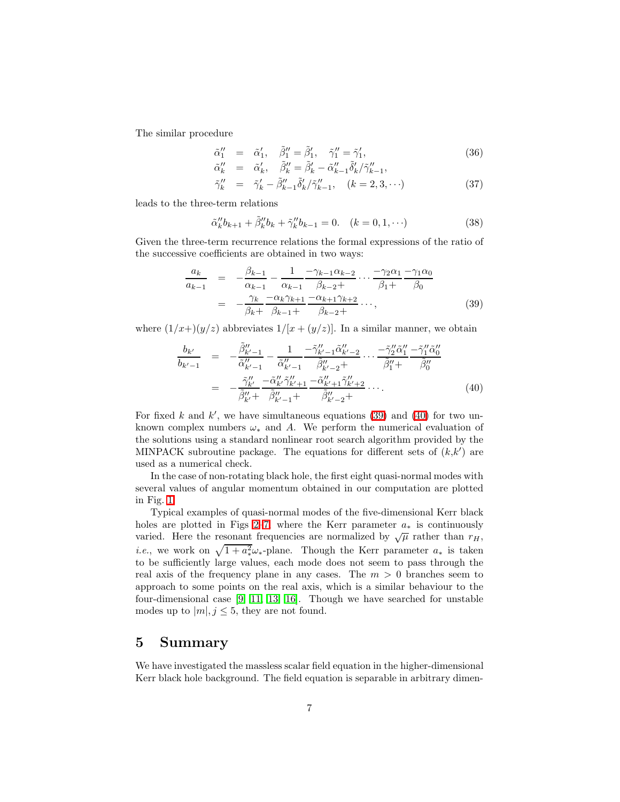The similar procedure

$$
\begin{array}{rcl}\n\tilde{\alpha}_1'' & = & \tilde{\alpha}_1', \quad \tilde{\beta}_1'' = \tilde{\beta}_1', \quad \tilde{\gamma}_1'' = \tilde{\gamma}_1', \\
\tilde{\alpha}_k'' & = & \tilde{\alpha}_k', \quad \tilde{\beta}_k'' = \tilde{\beta}_k' - \tilde{\alpha}_{k-1}'' \tilde{\delta}_k' / \tilde{\gamma}_{k-1}'',\n\end{array} \tag{36}
$$

$$
\tilde{\alpha}_k'' = \tilde{\alpha}_k', \quad \tilde{\beta}_k'' = \tilde{\beta}_k' - \tilde{\alpha}_{k-1}'' \tilde{\delta}_k' / \tilde{\gamma}_{k-1}'', \n\tilde{\gamma}_k'' = \tilde{\gamma}_k' - \tilde{\beta}_{k-1}'' \tilde{\delta}_k' / \tilde{\gamma}_{k-1}'', \quad (k = 2, 3, \cdots)
$$
\n(37)

leads to the three-term relations

$$
\tilde{\alpha}_k'' b_{k+1} + \tilde{\beta}_k'' b_k + \tilde{\gamma}_k'' b_{k-1} = 0. \quad (k = 0, 1, \cdots)
$$
\n(38)

<span id="page-6-0"></span>Given the three-term recurrence relations the formal expressions of the ratio of the successive coefficients are obtained in two ways:

$$
\frac{a_k}{a_{k-1}} = -\frac{\beta_{k-1}}{\alpha_{k-1}} - \frac{1}{\alpha_{k-1}} \frac{-\gamma_{k-1}\alpha_{k-2}}{\beta_{k-2} +} \cdots \frac{-\gamma_2\alpha_1}{\beta_1 +} \frac{-\gamma_1\alpha_0}{\beta_0}
$$
\n
$$
= -\frac{\gamma_k}{\beta_k +} \frac{-\alpha_k\gamma_{k+1}}{\beta_{k-1} +} \frac{-\alpha_{k+1}\gamma_{k+2}}{\beta_{k-2} +} \cdots,
$$
\n(39)

<span id="page-6-1"></span>where  $(1/x+)(y/z)$  abbreviates  $1/[x+(y/z)]$ . In a similar manner, we obtain

$$
\frac{b_{k'}}{b_{k'-1}} = -\frac{\tilde{\beta}_{k'-1}''}{\tilde{\alpha}_{k'-1}''} - \frac{1}{\tilde{\alpha}_{k'-1}''} \frac{-\tilde{\gamma}_{k'-1}''\tilde{\alpha}_{k'-2}'' \dots -\tilde{\gamma}_2''\tilde{\alpha}_1''}{\tilde{\beta}_{k'-2}''} + \dots -\frac{\tilde{\gamma}_2''\tilde{\alpha}_1''}{\tilde{\beta}_1''} \frac{-\tilde{\gamma}_{k'}''}{\tilde{\beta}_0''} \n= -\frac{\tilde{\gamma}_{k'}''}{\tilde{\beta}_{k'}''} \frac{-\tilde{\alpha}_{k'}''\tilde{\gamma}_{k'+1}'' - \tilde{\alpha}_{k'+1}''\tilde{\gamma}_{k'+2}''}{\tilde{\beta}_{k'-2}''} \dots
$$
\n(40)

For fixed k and  $k'$ , we have simultaneous equations [\(39\)](#page-6-0) and [\(40\)](#page-6-1) for two unknown complex numbers  $\omega_*$  and A. We perform the numerical evaluation of the solutions using a standard nonlinear root search algorithm provided by the MINPACK subroutine package. The equations for different sets of  $(k, k')$  are used as a numerical check.

In the case of non-rotating black hole, the first eight quasi-normal modes with several values of angular momentum obtained in our computation are plotted in Fig. [1.](#page-9-0)

Typical examples of quasi-normal modes of the five-dimensional Kerr black holes are plotted in Figs [2–](#page-10-0)[7,](#page-15-0) where the Kerr parameter  $a_*$  is continuously varied. Here the resonant frequencies are normalized by  $\sqrt{\mu}$  rather than  $r_H$ , *i.e.*, we work on  $\sqrt{1 + a_*^2} \omega_*$ -plane. Though the Kerr parameter  $a_*$  is taken to be sufficiently large values, each mode does not seem to pass through the real axis of the frequency plane in any cases. The  $m > 0$  branches seem to approach to some points on the real axis, which is a similar behaviour to the four-dimensional case [\[9,](#page-8-1) [11,](#page-8-4) [13,](#page-8-5) [16\]](#page-8-6). Though we have searched for unstable modes up to  $|m|, j \leq 5$ , they are not found.

### 5 Summary

We have investigated the massless scalar field equation in the higher-dimensional Kerr black hole background. The field equation is separable in arbitrary dimen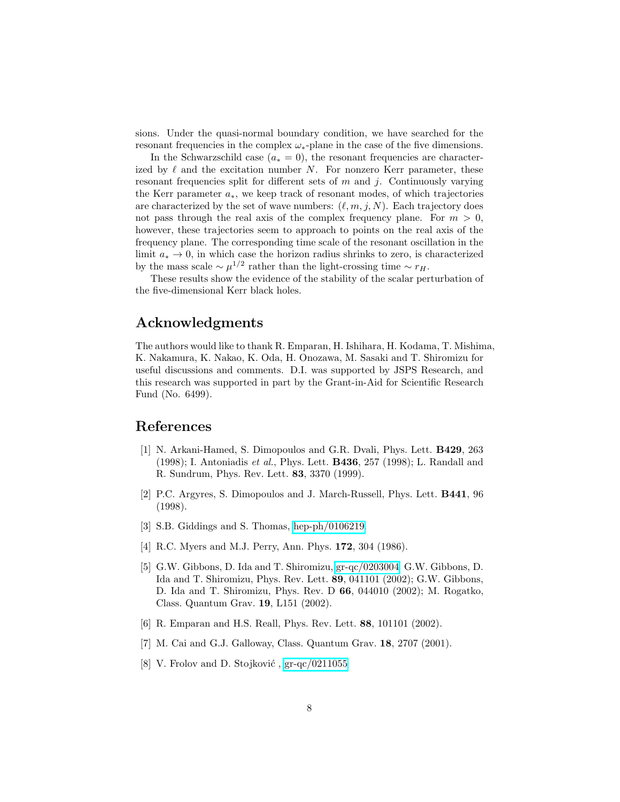sions. Under the quasi-normal boundary condition, we have searched for the resonant frequencies in the complex  $\omega_*$ -plane in the case of the five dimensions.

In the Schwarzschild case ( $a_* = 0$ ), the resonant frequencies are characterized by  $\ell$  and the excitation number N. For nonzero Kerr parameter, these resonant frequencies split for different sets of  $m$  and  $j$ . Continuously varying the Kerr parameter  $a_*$ , we keep track of resonant modes, of which trajectories are characterized by the set of wave numbers:  $(\ell, m, j, N)$ . Each trajectory does not pass through the real axis of the complex frequency plane. For  $m > 0$ , however, these trajectories seem to approach to points on the real axis of the frequency plane. The corresponding time scale of the resonant oscillation in the limit  $a_* \to 0$ , in which case the horizon radius shrinks to zero, is characterized by the mass scale  $\sim \mu^{1/2}$  rather than the light-crossing time  $\sim r_H$ .

These results show the evidence of the stability of the scalar perturbation of the five-dimensional Kerr black holes.

### Acknowledgments

The authors would like to thank R. Emparan, H. Ishihara, H. Kodama, T. Mishima, K. Nakamura, K. Nakao, K. Oda, H. Onozawa, M. Sasaki and T. Shiromizu for useful discussions and comments. D.I. was supported by JSPS Research, and this research was supported in part by the Grant-in-Aid for Scientific Research Fund (No. 6499).

#### <span id="page-7-0"></span>References

- [1] N. Arkani-Hamed, S. Dimopoulos and G.R. Dvali, Phys. Lett. B429, 263 (1998); I. Antoniadis et al., Phys. Lett. B436, 257 (1998); L. Randall and R. Sundrum, Phys. Rev. Lett. 83, 3370 (1999).
- <span id="page-7-1"></span>[2] P.C. Argyres, S. Dimopoulos and J. March-Russell, Phys. Lett. B441, 96 (1998).
- <span id="page-7-6"></span><span id="page-7-2"></span>[3] S.B. Giddings and S. Thomas, [hep-ph/0106219.](http://arxiv.org/abs/hep-ph/0106219)
- <span id="page-7-3"></span>[4] R.C. Myers and M.J. Perry, Ann. Phys. 172, 304 (1986).
- [5] G.W. Gibbons, D. Ida and T. Shiromizu, [gr-qc/0203004;](http://arxiv.org/abs/gr-qc/0203004) G.W. Gibbons, D. Ida and T. Shiromizu, Phys. Rev. Lett. 89, 041101 (2002); G.W. Gibbons, D. Ida and T. Shiromizu, Phys. Rev. D 66, 044010 (2002); M. Rogatko, Class. Quantum Grav. 19, L151 (2002).
- <span id="page-7-4"></span>[6] R. Emparan and H.S. Reall, Phys. Rev. Lett. 88, 101101 (2002).
- <span id="page-7-5"></span>[7] M. Cai and G.J. Galloway, Class. Quantum Grav. 18, 2707 (2001).
- [8] V. Frolov and D. Stojković,  $gr-qc/0211055$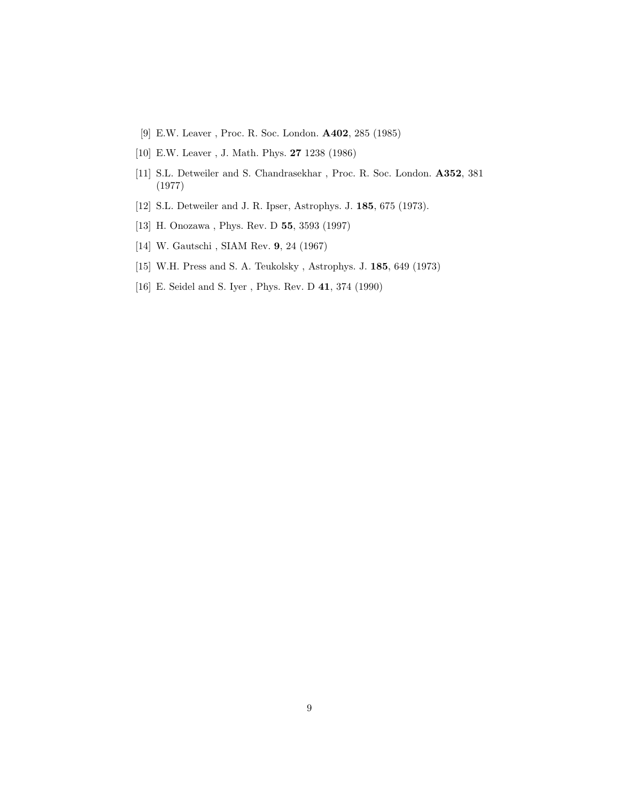- <span id="page-8-1"></span>[9] E.W. Leaver , Proc. R. Soc. London. A402, 285 (1985)
- <span id="page-8-4"></span><span id="page-8-2"></span>[10] E.W. Leaver , J. Math. Phys. 27 1238 (1986)
- [11] S.L. Detweiler and S. Chandrasekhar, Proc. R. Soc. London. A352, 381 (1977)
- <span id="page-8-5"></span><span id="page-8-0"></span>[12] S.L. Detweiler and J. R. Ipser, Astrophys. J. 185, 675 (1973).
- <span id="page-8-3"></span>[13] H. Onozawa , Phys. Rev. D 55, 3593 (1997)
- [14] W. Gautschi , SIAM Rev. 9, 24 (1967)
- <span id="page-8-6"></span>[15] W.H. Press and S. A. Teukolsky , Astrophys. J. 185, 649 (1973)
- [16] E. Seidel and S. Iyer , Phys. Rev. D 41, 374 (1990)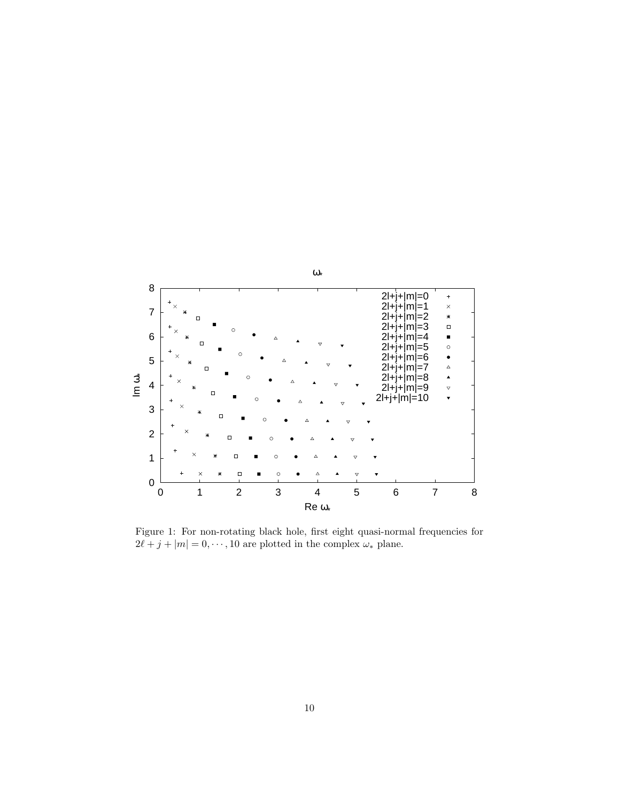

<span id="page-9-0"></span>Figure 1: For non-rotating black hole, first eight quasi-normal frequencies for  $2\ell + j + |m| = 0, \cdots, 10$  are plotted in the complex  $\omega_*$  plane.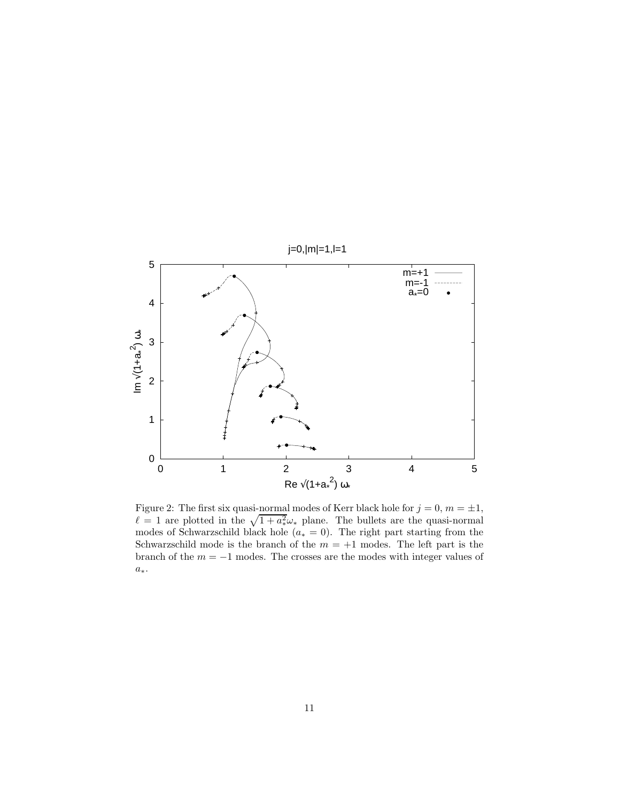

<span id="page-10-0"></span>Figure 2: The first six quasi-normal modes of Kerr black hole for  $j = 0, m = \pm 1$ ,  $\ell = 1$  are plotted in the  $\sqrt{1 + a_*^2} \omega_*$  plane. The bullets are the quasi-normal modes of Schwarzschild black hole ( $a_* = 0$ ). The right part starting from the Schwarzschild mode is the branch of the  $m = +1$  modes. The left part is the branch of the  $m = -1$  modes. The crosses are the modes with integer values of  $a_\ast.$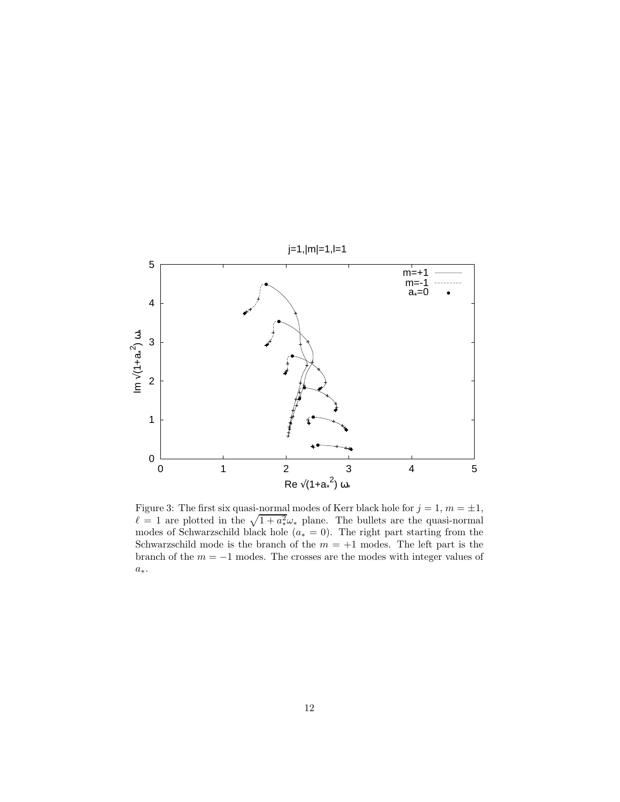

Figure 3: The first six quasi-normal modes of Kerr black hole for  $j = 1, m = \pm 1$ ,  $\ell = 1$  are plotted in the  $\sqrt{1 + a_*^2} \omega_*$  plane. The bullets are the quasi-normal modes of Schwarzschild black hole ( $a_* = 0$ ). The right part starting from the Schwarzschild mode is the branch of the  $m = +1$  modes. The left part is the branch of the  $m = -1$  modes. The crosses are the modes with integer values of  $a_\ast.$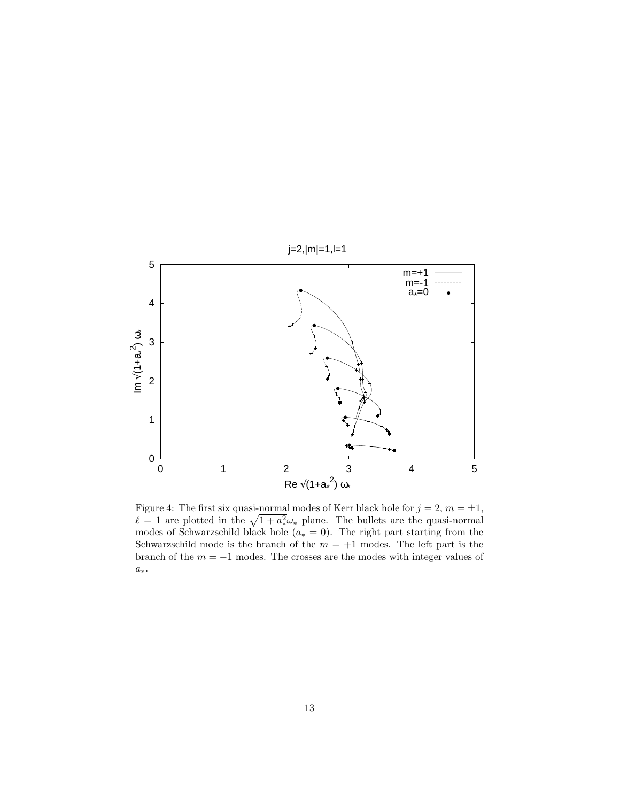

Figure 4: The first six quasi-normal modes of Kerr black hole for  $j = 2, m = \pm 1$ ,  $\ell = 1$  are plotted in the  $\sqrt{1 + a_*^2} \omega_*$  plane. The bullets are the quasi-normal modes of Schwarzschild black hole ( $a_* = 0$ ). The right part starting from the Schwarzschild mode is the branch of the  $m = +1$  modes. The left part is the branch of the  $m = -1$  modes. The crosses are the modes with integer values of  $a_\ast.$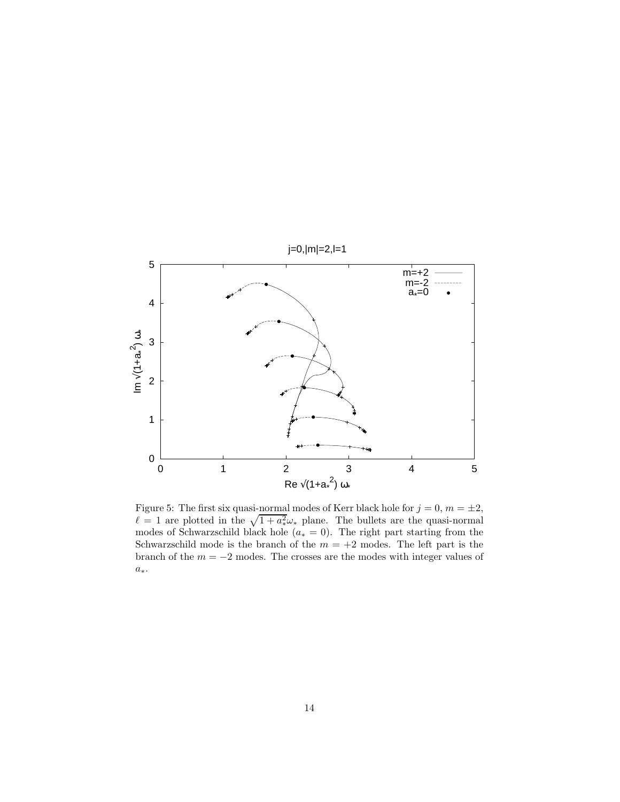

Figure 5: The first six quasi-normal modes of Kerr black hole for  $j = 0, m = \pm 2$ ,  $\ell = 1$  are plotted in the  $\sqrt{1 + a_*^2} \omega_*$  plane. The bullets are the quasi-normal modes of Schwarzschild black hole ( $a_* = 0$ ). The right part starting from the Schwarzschild mode is the branch of the  $m = +2$  modes. The left part is the branch of the  $m = -2$  modes. The crosses are the modes with integer values of  $a_\ast.$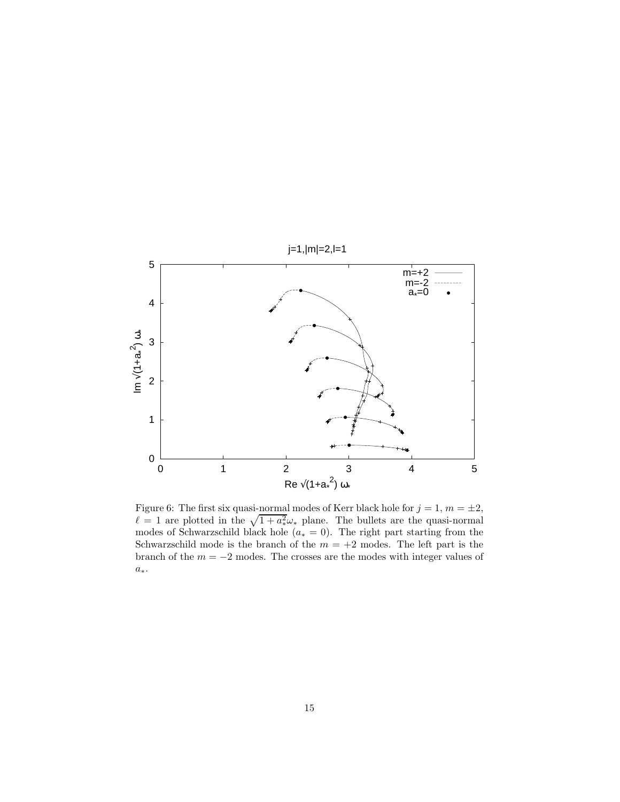

Figure 6: The first six quasi-normal modes of Kerr black hole for  $j = 1, m = \pm 2$ ,  $\ell = 1$  are plotted in the  $\sqrt{1 + a_*^2} \omega_*$  plane. The bullets are the quasi-normal modes of Schwarzschild black hole ( $a_* = 0$ ). The right part starting from the Schwarzschild mode is the branch of the  $m = +2$  modes. The left part is the branch of the  $m = -2$  modes. The crosses are the modes with integer values of  $a_\ast.$